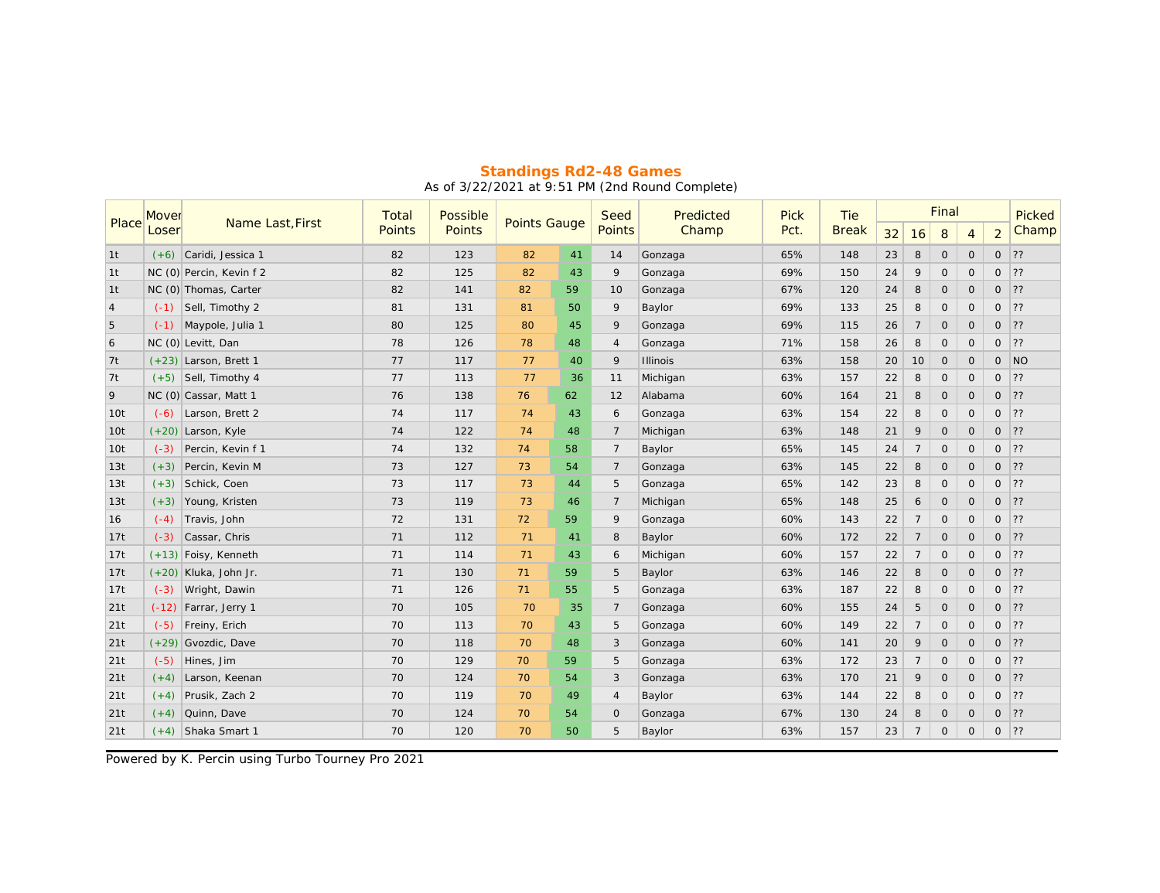|                 | Mover   | Name Last, First         | Total  | Possible | <b>Points Gauge</b> |    | Seed           | Predicted       | <b>Pick</b> | Tie          |    |                | Picked  |              |                |       |
|-----------------|---------|--------------------------|--------|----------|---------------------|----|----------------|-----------------|-------------|--------------|----|----------------|---------|--------------|----------------|-------|
| Place           | Loser   |                          | Points | Points   |                     |    | <b>Points</b>  | Champ           | Pct.        | <b>Break</b> | 32 | 16             | 8       | 4            | $\overline{2}$ | Champ |
| 1t              |         | $(+6)$ Caridi, Jessica 1 | 82     | 123      | 82                  | 41 | 14             | Gonzaga         | 65%         | 148          | 23 | 8              | $\circ$ | $\mathbf{O}$ | $\circ$        | ??    |
| 1 <sub>t</sub>  |         | NC (0) Percin, Kevin f 2 | 82     | 125      | 82                  | 43 | 9              | Gonzaga         | 69%         | 150          | 24 | 9              | $\circ$ | $\circ$      | $\circ$        | 22    |
| 1t              |         | NC (0) Thomas, Carter    | 82     | 141      | 82                  | 59 | 10             | Gonzaga         | 67%         | 120          | 24 | 8              | $\circ$ | $\circ$      | $\circ$        | 22    |
| $\overline{4}$  |         | $(-1)$ Sell, Timothy 2   | 81     | 131      | 81                  | 50 | 9              | Baylor          | 69%         | 133          | 25 | 8              | $\circ$ | $\circ$      | $\circ$        | 22    |
| 5               | $(-1)$  | Maypole, Julia 1         | 80     | 125      | 80                  | 45 | 9              | Gonzaga         | 69%         | 115          | 26 | $\overline{7}$ | $\circ$ | $\circ$      | $\circ$        | 22    |
| 6               |         | NC (0) Levitt, Dan       | 78     | 126      | 78                  | 48 | $\overline{4}$ | Gonzaga         | 71%         | 158          | 26 | 8              | $\circ$ | $\circ$      | $\circ$        | ??    |
| 7t              |         | $(+23)$ Larson, Brett 1  | 77     | 117      | 77                  | 40 | 9              | <b>Illinois</b> | 63%         | 158          | 20 | 10             | $\circ$ | $\circ$      | $\circ$        | N     |
| 7t              |         | $(+5)$ Sell, Timothy 4   | 77     | 113      | 77                  | 36 | 11             | Michigan        | 63%         | 157          | 22 | 8              | $\circ$ | $\circ$      | $\circ$        | ??    |
| 9               |         | NC (0) Cassar, Matt 1    | 76     | 138      | 76                  | 62 | 12             | Alabama         | 60%         | 164          | 21 | 8              | $\circ$ | $\circ$      | $\circ$        | ?     |
| 10 <sub>t</sub> | $(-6)$  | Larson, Brett 2          | 74     | 117      | 74                  | 43 | 6              | Gonzaga         | 63%         | 154          | 22 | 8              | $\circ$ | $\circ$      | $\circ$        | 22    |
| 10 <sub>t</sub> |         | $(+20)$ Larson, Kyle     | 74     | 122      | 74                  | 48 | $\overline{7}$ | Michigan        | 63%         | 148          | 21 | 9              | $\circ$ | $\circ$      | $\Omega$       | 22    |
| 10t             | $(-3)$  | Percin, Kevin f 1        | 74     | 132      | 74                  | 58 | $\overline{7}$ | Baylor          | 65%         | 145          | 24 | $\overline{7}$ | $\circ$ | $\circ$      | $\circ$        | 22    |
| 13t             | $(+3)$  | Percin, Kevin M          | 73     | 127      | 73                  | 54 | $\overline{7}$ | Gonzaga         | 63%         | 145          | 22 | 8              | $\circ$ | 0            | $\circ$        | ??    |
| 13t             | $(+3)$  | Schick, Coen             | 73     | 117      | 73                  | 44 | 5              | Gonzaga         | 65%         | 142          | 23 | 8              | $\circ$ | $\circ$      | 0              | 22    |
| 13t             | $(+3)$  | Young, Kristen           | 73     | 119      | 73                  | 46 | $\overline{7}$ | Michigan        | 65%         | 148          | 25 | 6              | $\circ$ | $\circ$      | $\circ$        | 22    |
| 16              | $(-4)$  | Travis, John             | 72     | 131      | 72                  | 59 | 9              | Gonzaga         | 60%         | 143          | 22 | $\overline{7}$ | $\circ$ | $\circ$      | $\circ$        | 22    |
| 17t             | $(-3)$  | Cassar, Chris            | 71     | 112      | 71                  | 41 | 8              | Baylor          | 60%         | 172          | 22 | $\overline{7}$ | $\circ$ | $\circ$      | $\circ$        | 22    |
| 17t             |         | $(+13)$ Foisy, Kenneth   | 71     | 114      | 71                  | 43 | 6              | Michigan        | 60%         | 157          | 22 | $\overline{7}$ | $\circ$ | $\circ$      | $\circ$        | 22    |
| 17t             |         | $(+20)$ Kluka, John Jr.  | 71     | 130      | 71                  | 59 | 5              | Baylor          | 63%         | 146          | 22 | 8              | $\circ$ | $\circ$      | $\circ$        | 22    |
| 17t             | $(-3)$  | Wright, Dawin            | 71     | 126      | 71                  | 55 | 5              | Gonzaga         | 63%         | 187          | 22 | 8              | $\circ$ | $\circ$      | $\circ$        | 22    |
| 21t             | $(-12)$ | Farrar, Jerry 1          | 70     | 105      | 70                  | 35 | $\overline{7}$ | Gonzaga         | 60%         | 155          | 24 | 5              | $\circ$ | $\circ$      | $\circ$        | 22    |
| 21t             | $(-5)$  | Freiny, Erich            | 70     | 113      | 70                  | 43 | 5              | Gonzaga         | 60%         | 149          | 22 | $\overline{7}$ | $\circ$ | $\circ$      | $\circ$        | 22    |
| 21t             | $(+29)$ | Gvozdic, Dave            | 70     | 118      | 70                  | 48 | 3              | Gonzaga         | 60%         | 141          | 20 | 9              | $\circ$ | $\circ$      | $\circ$        | 22    |
| 21t             | $(-5)$  | Hines, Jim               | 70     | 129      | 70                  | 59 | 5              | Gonzaga         | 63%         | 172          | 23 | $\overline{7}$ | $\circ$ | $\mathbf{O}$ | $\circ$        | 22    |
| 21t             | $(+4)$  | Larson, Keenan           | 70     | 124      | 70                  | 54 | 3              | Gonzaga         | 63%         | 170          | 21 | 9              | $\circ$ | $\circ$      | $\circ$        | ?     |
| 21t             | $(+4)$  | Prusik, Zach 2           | 70     | 119      | 70                  | 49 | 4              | Baylor          | 63%         | 144          | 22 | 8              | $\circ$ | $\circ$      | $\circ$        | 22    |
| 21t             | $(+4)$  | Quinn, Dave              | 70     | 124      | 70                  | 54 | $\mathbf{O}$   | Gonzaga         | 67%         | 130          | 24 | 8              | $\circ$ | $\circ$      | $\circ$        | 22    |
| 21t             |         | $(+4)$ Shaka Smart 1     | 70     | 120      | 70                  | 50 | 5              | Baylor          | 63%         | 157          | 23 | $\overline{7}$ | $\circ$ | $\mathbf{O}$ | $\circ$        | 22    |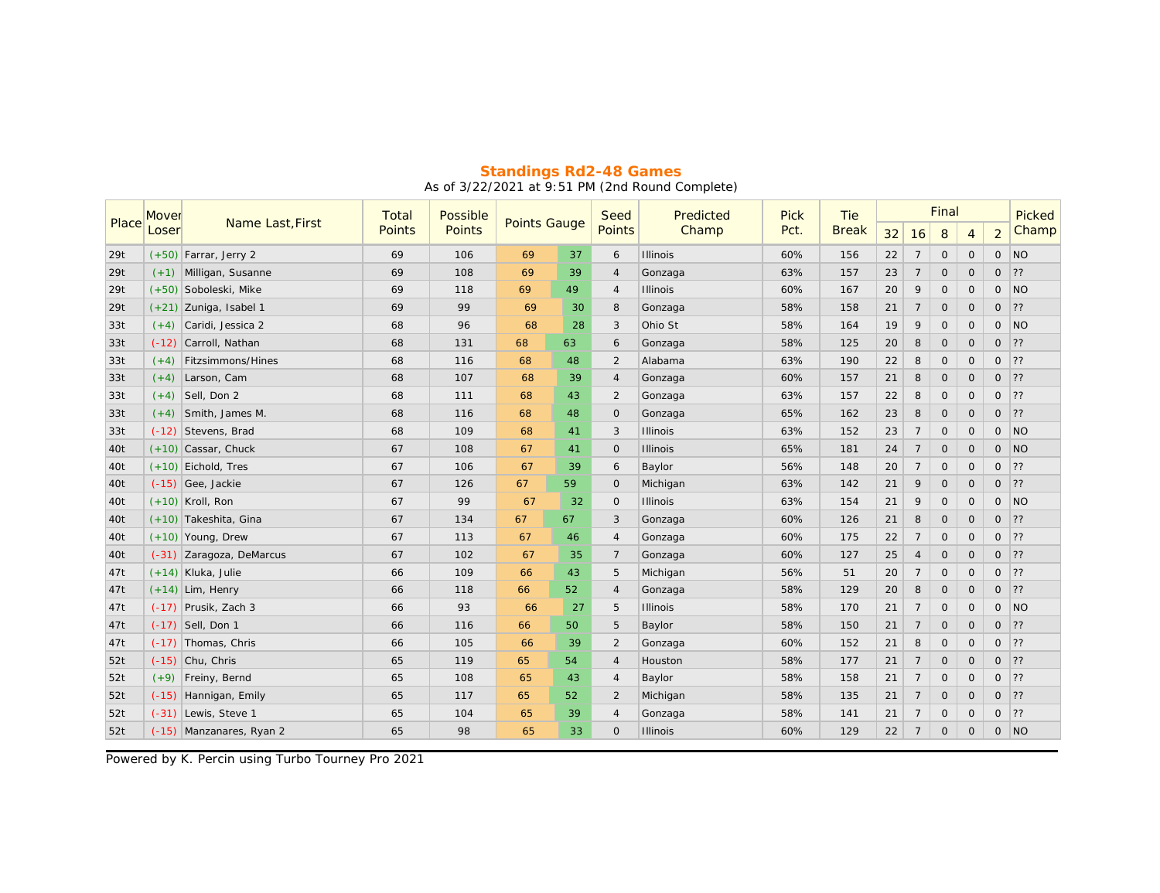|       | Mover   | Name Last, First         | Total         | Possible | <b>Points Gauge</b> |    | Seed           | Predicted       | <b>Pick</b> | Tie          |    |                | Final       | Picked         |                |                          |
|-------|---------|--------------------------|---------------|----------|---------------------|----|----------------|-----------------|-------------|--------------|----|----------------|-------------|----------------|----------------|--------------------------|
| Place | Loser   |                          | <b>Points</b> | Points   |                     |    | <b>Points</b>  | Champ           | Pct.        | <b>Break</b> | 32 | 16             | 8           | $\overline{4}$ | $\overline{2}$ | Champ                    |
| 29t   |         | $(+50)$ Farrar, Jerry 2  | 69            | 106      | 69                  | 37 | 6              | Illinois        | 60%         | 156          | 22 | $\overline{7}$ | $\circ$     | $\mathbf{O}$   | $\circ$        | NO                       |
| 29t   | $(+1)$  | Milligan, Susanne        | 69            | 108      | 69                  | 39 | 4              | Gonzaga         | 63%         | 157          | 23 | $\overline{7}$ | $\circ$     | $\circ$        | $\circ$        | ??                       |
| 29t   |         | $(+50)$ Soboleski, Mike  | 69            | 118      | 69                  | 49 | $\overline{4}$ | <b>Illinois</b> | 60%         | 167          | 20 | 9              | $\circ$     | $\circ$        | $\circ$        | NO                       |
| 29t   |         | $(+21)$ Zuniga, Isabel 1 | 69            | 99       | 69                  | 30 | 8              | Gonzaga         | 58%         | 158          | 21 | $\overline{7}$ | $\circ$     | $\circ$        | $\circ$        | 22                       |
| 33t   | $(+4)$  | Caridi, Jessica 2        | 68            | 96       | 68                  | 28 | 3              | Ohio St         | 58%         | 164          | 19 | 9              | $\circ$     | $\circ$        | $\circ$        | N                        |
| 33t   | $(-12)$ | Carroll, Nathan          | 68            | 131      | 68                  | 63 | 6              | Gonzaga         | 58%         | 125          | 20 | 8              | $\circ$     | $\circ$        | $\circ$        | 22                       |
| 33t   | $(+4)$  | <b>Fitzsimmons/Hines</b> | 68            | 116      | 68                  | 48 | 2              | Alabama         | 63%         | 190          | 22 | 8              | $\circ$     | $\circ$        | $\circ$        | 22                       |
| 33t   | $(+4)$  | Larson, Cam              | 68            | 107      | 68                  | 39 | $\overline{4}$ | Gonzaga         | 60%         | 157          | 21 | 8              | $\circ$     | $\circ$        | $\circ$        | 22                       |
| 33t   | $(+4)$  | Sell, Don 2              | 68            | 111      | 68                  | 43 | $\overline{2}$ | Gonzaga         | 63%         | 157          | 22 | 8              | $\circ$     | $\circ$        | $\circ$        | 22                       |
| 33t   | $(+4)$  | Smith, James M.          | 68            | 116      | 68                  | 48 | $\circ$        | Gonzaga         | 65%         | 162          | 23 | 8              | $\circ$     | $\circ$        | $\mathbf{O}$   | 22                       |
| 33t   | $(-12)$ | Stevens, Brad            | 68            | 109      | 68                  | 41 | 3              | <b>Illinois</b> | 63%         | 152          | 23 | $\overline{7}$ | $\circ$     | $\circ$        | $\circ$        | N                        |
| 40t   |         | $(+10)$ Cassar, Chuck    | 67            | 108      | 67                  | 41 | $\circ$        | <b>Illinois</b> | 65%         | 181          | 24 | $\overline{7}$ | $\circ$     | $\circ$        | $\circ$        | NO                       |
| 40t   |         | $(+10)$ Eichold, Tres    | 67            | 106      | 67                  | 39 | 6              | Baylor          | 56%         | 148          | 20 | $\overline{7}$ | $\circ$     | $\circ$        | $\circ$        | 22                       |
| 40t   |         | $(-15)$ Gee, Jackie      | 67            | 126      | 67                  | 59 | $\mathbf 0$    | Michigan        | 63%         | 142          | 21 | 9              | $\circ$     | $\circ$        | $\circ$        | 22                       |
| 40t   |         | $(+10)$ Kroll, Ron       | 67            | 99       | 67                  | 32 | $\mathbf{O}$   | <b>Illinois</b> | 63%         | 154          | 21 | 9              | $\circ$     | $\circ$        | $\circ$        | NO                       |
| 40t   |         | $(+10)$ Takeshita, Gina  | 67            | 134      | 67                  | 67 | 3              | Gonzaga         | 60%         | 126          | 21 | 8              | $\circ$     | $\circ$        | $\circ$        | 22                       |
| 40t   |         | $(+10)$ Young, Drew      | 67            | 113      | 67                  | 46 | $\overline{4}$ | Gonzaga         | 60%         | 175          | 22 | $\overline{7}$ | $\circ$     | $\circ$        | $\circ$        | 22                       |
| 40t   |         | (-31) Zaragoza, DeMarcus | 67            | 102      | 67                  | 35 | $\overline{7}$ | Gonzaga         | 60%         | 127          | 25 | $\overline{4}$ | $\circ$     | $\circ$        | $\mathbf{O}$   | 22                       |
| 47t   |         | $(+14)$ Kluka, Julie     | 66            | 109      | 66                  | 43 | 5              | Michigan        | 56%         | 51           | 20 | $\overline{7}$ | $\circ$     | $\circ$        | $\circ$        | 22                       |
| 47t   |         | $(+14)$ Lim, Henry       | 66            | 118      | 66                  | 52 | $\overline{4}$ | Gonzaga         | 58%         | 129          | 20 | 8              | $\circ$     | $\circ$        | $\circ$        | 22                       |
| 47t   |         | $(-17)$ Prusik, Zach 3   | 66            | 93       | 66                  | 27 | 5              | <b>Illinois</b> | 58%         | 170          | 21 | $\overline{7}$ | $\circ$     | $\circ$        | $\circ$        | $\overline{\mathsf{NO}}$ |
| 47t   |         | $(-17)$ Sell, Don 1      | 66            | 116      | 66                  | 50 | 5              | Baylor          | 58%         | 150          | 21 | $\overline{7}$ | $\circ$     | $\circ$        | $\circ$        | ??                       |
| 47t   |         | (-17) Thomas, Chris      | 66            | 105      | 66                  | 39 | $\overline{c}$ | Gonzaga         | 60%         | 152          | 21 | 8              | $\circ$     | $\circ$        | 0              | ??                       |
| 52t   |         | $(-15)$ Chu, Chris       | 65            | 119      | 65                  | 54 | $\overline{4}$ | Houston         | 58%         | 177          | 21 | $\overline{7}$ | $\circ$     | $\mathbf{O}$   | $\circ$        | ??                       |
| 52t   | $(+9)$  | Freiny, Bernd            | 65            | 108      | 65                  | 43 | 4              | Baylor          | 58%         | 158          | 21 | $\overline{7}$ | $\mathsf O$ | $\circ$        | $\circ$        | ??                       |
| 52t   | $(-15)$ | Hannigan, Emily          | 65            | 117      | 65                  | 52 | $\overline{2}$ | Michigan        | 58%         | 135          | 21 | $\overline{7}$ | $\circ$     | $\circ$        | $\circ$        | ??                       |
| 52t   | $(-31)$ | Lewis, Steve 1           | 65            | 104      | 65                  | 39 | $\overline{4}$ | Gonzaga         | 58%         | 141          | 21 | $\overline{7}$ | $\circ$     | $\circ$        | $\circ$        | 22                       |
| 52t   |         | (-15) Manzanares, Ryan 2 | 65            | 98       | 65                  | 33 | $\circ$        | <b>Illinois</b> | 60%         | 129          | 22 | $\overline{7}$ | $\circ$     | $\mathbf{O}$   | $\circ$        | N                        |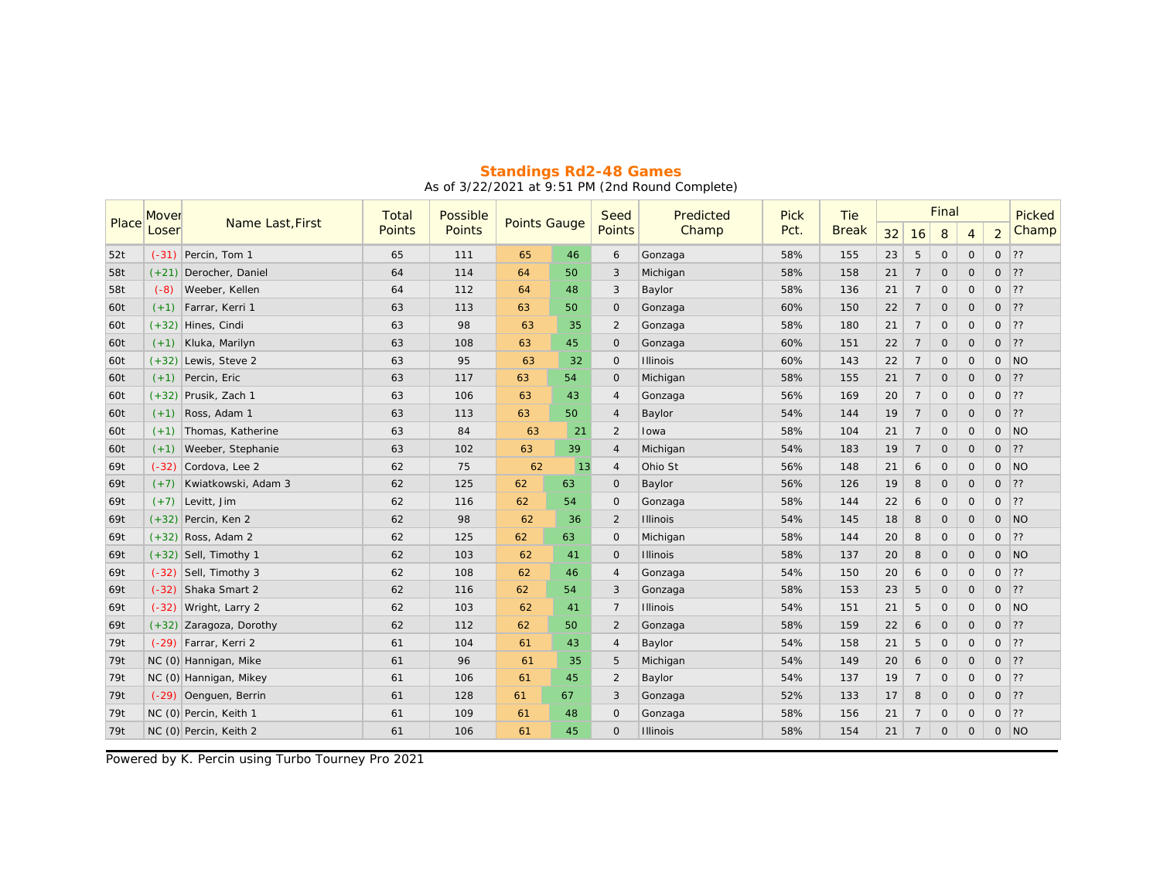|       | Mover   |                           | Total         | Possible | <b>Points Gauge</b> |    | Seed           | Predicted       | <b>Pick</b> | Tie          |    |                | Final   |              |                | Picked         |
|-------|---------|---------------------------|---------------|----------|---------------------|----|----------------|-----------------|-------------|--------------|----|----------------|---------|--------------|----------------|----------------|
| Place | Loser   | Name Last, First          | <b>Points</b> | Points   |                     |    | <b>Points</b>  | Champ           | Pct.        | <b>Break</b> | 32 | 16             | 8       | 4            | $\overline{2}$ | Champ          |
| 52t   |         | $(-31)$ Percin, Tom 1     | 65            | 111      | 65                  | 46 | 6              | Gonzaga         | 58%         | 155          | 23 | 5              | $\circ$ | $\circ$      | $\circ$        | 22             |
| 58t   |         | $(+21)$ Derocher, Daniel  | 64            | 114      | 64                  | 50 | 3              | Michigan        | 58%         | 158          | 21 | $\overline{7}$ | $\circ$ | $\circ$      | $\circ$        | 22             |
| 58t   | $(-8)$  | Weeber, Kellen            | 64            | 112      | 64                  | 48 | 3              | Baylor          | 58%         | 136          | 21 | $\overline{7}$ | $\circ$ | $\circ$      | $\circ$        | 22             |
| 60t   | $(+1)$  | Farrar, Kerri 1           | 63            | 113      | 63                  | 50 | $\circ$        | Gonzaga         | 60%         | 150          | 22 | $\overline{7}$ | $\circ$ | $\circ$      | $\circ$        | ?              |
| 60t   |         | $(+32)$ Hines, Cindi      | 63            | 98       | 63                  | 35 | $\overline{2}$ | Gonzaga         | 58%         | 180          | 21 | $\overline{7}$ | $\circ$ | $\circ$      | $\circ$        | 22             |
| 60t   |         | $(+1)$ Kluka, Marilyn     | 63            | 108      | 63                  | 45 | $\circ$        | Gonzaga         | 60%         | 151          | 22 | $\overline{7}$ | $\circ$ | $\circ$      | $\circ$        | 22             |
| 60t   |         | $(+32)$ Lewis, Steve 2    | 63            | 95       | 63                  | 32 | 0              | <b>Illinois</b> | 60%         | 143          | 22 | $\overline{7}$ | $\circ$ | $\circ$      | $\circ$        | N <sub>O</sub> |
| 60t   |         | $(+1)$ Percin, Eric       | 63            | 117      | 63                  | 54 | $\circ$        | Michigan        | 58%         | 155          | 21 | $\overline{7}$ | $\circ$ | $\circ$      | $\circ$        | $\overline{?}$ |
| 60t   |         | $(+32)$ Prusik, Zach 1    | 63            | 106      | 63                  | 43 | $\overline{4}$ | Gonzaga         | 56%         | 169          | 20 | $\overline{7}$ | $\circ$ | $\circ$      | $\circ$        | 22             |
| 60t   | $(+1)$  | Ross, Adam 1              | 63            | 113      | 63                  | 50 | $\overline{4}$ | Baylor          | 54%         | 144          | 19 | $\overline{7}$ | $\circ$ | $\circ$      | $\circ$        | 22             |
| 60t   | $(+1)$  | Thomas, Katherine         | 63            | 84       | 63                  | 21 | 2              | Iowa            | 58%         | 104          | 21 | $\overline{7}$ | $\circ$ | $\circ$      | $\circ$        | N              |
| 60t   | $(+1)$  | Weeber, Stephanie         | 63            | 102      | 63                  | 39 | $\overline{4}$ | Michigan        | 54%         | 183          | 19 | $\overline{7}$ | $\circ$ | $\circ$      | $\circ$        | 22             |
| 69t   | $(-32)$ | Cordova, Lee 2            | 62            | 75       | 62                  | 13 | $\overline{4}$ | Ohio St         | 56%         | 148          | 21 | 6              | $\circ$ | $\mathsf{O}$ | $\circ$        | NO             |
| 69t   | $(+7)$  | Kwiatkowski, Adam 3       | 62            | 125      | 62                  | 63 | $\circ$        | Baylor          | 56%         | 126          | 19 | 8              | $\circ$ | $\circ$      | $\circ$        | 22             |
| 69t   | $(+7)$  | Levitt, Jim               | 62            | 116      | 62                  | 54 | $\circ$        | Gonzaga         | 58%         | 144          | 22 | 6              | $\circ$ | $\circ$      | $\circ$        | 22             |
| 69t   |         | $(+32)$ Percin, Ken 2     | 62            | 98       | 62                  | 36 | $\overline{2}$ | <b>Illinois</b> | 54%         | 145          | 18 | 8              | $\circ$ | $\mathbf{O}$ | $\circ$        | <b>NO</b>      |
| 69t   |         | $(+32)$ Ross, Adam 2      | 62            | 125      | 62                  | 63 | $\circ$        | Michigan        | 58%         | 144          | 20 | 8              | $\circ$ | $\circ$      | 0              | 22             |
| 69t   |         | $(+32)$ Sell, Timothy 1   | 62            | 103      | 62                  | 41 | $\mathsf{O}$   | <b>Illinois</b> | 58%         | 137          | 20 | 8              | $\circ$ | $\circ$      | $\circ$        | N              |
| 69t   |         | $(-32)$ Sell, Timothy 3   | 62            | 108      | 62                  | 46 | $\overline{4}$ | Gonzaga         | 54%         | 150          | 20 | 6              | $\circ$ | $\circ$      | $\circ$        | 22             |
| 69t   |         | $(-32)$ Shaka Smart 2     | 62            | 116      | 62                  | 54 | 3              | Gonzaga         | 58%         | 153          | 23 | 5              | $\circ$ | $\circ$      | $\Omega$       | 22             |
| 69t   | $(-32)$ | Wright, Larry 2           | 62            | 103      | 62                  | 41 | $\overline{7}$ | <b>Illinois</b> | 54%         | 151          | 21 | 5              | $\circ$ | $\circ$      | $\circ$        | <b>NO</b>      |
| 69t   |         | $(+32)$ Zaragoza, Dorothy | 62            | 112      | 62                  | 50 | $\overline{2}$ | Gonzaga         | 58%         | 159          | 22 | 6              | $\circ$ | $\circ$      | $\circ$        | $\overline{?}$ |
| 79t   |         | $(-29)$ Farrar, Kerri 2   | 61            | 104      | 61                  | 43 | $\overline{4}$ | Baylor          | 54%         | 158          | 21 | 5              | $\circ$ | $\circ$      | $\circ$        | 22             |
| 79t   |         | NC (0) Hannigan, Mike     | 61            | 96       | 61                  | 35 | 5              | Michigan        | 54%         | 149          | 20 | 6              | $\circ$ | $\circ$      | 0              | 22             |
| 79t   |         | NC (0) Hannigan, Mikey    | 61            | 106      | 61                  | 45 | $\overline{2}$ | Baylor          | 54%         | 137          | 19 | $\overline{7}$ | $\circ$ | $\circ$      | $\circ$        | 22             |
| 79t   |         | (-29) Oenguen, Berrin     | 61            | 128      | 61                  | 67 | 3              | Gonzaga         | 52%         | 133          | 17 | 8              | $\circ$ | $\circ$      | $\circ$        | 22             |
| 79t   |         | NC (0) Percin, Keith 1    | 61            | 109      | 61                  | 48 | $\circ$        | Gonzaga         | 58%         | 156          | 21 | $\overline{7}$ | $\circ$ | $\mathsf{O}$ | $\circ$        | 22             |
| 79t   |         | NC (0) Percin, Keith 2    | 61            | 106      | 61                  | 45 | $\circ$        | <b>Illinois</b> | 58%         | 154          | 21 | $\overline{7}$ | $\circ$ | $\circ$      | $\circ$        | N <sup>O</sup> |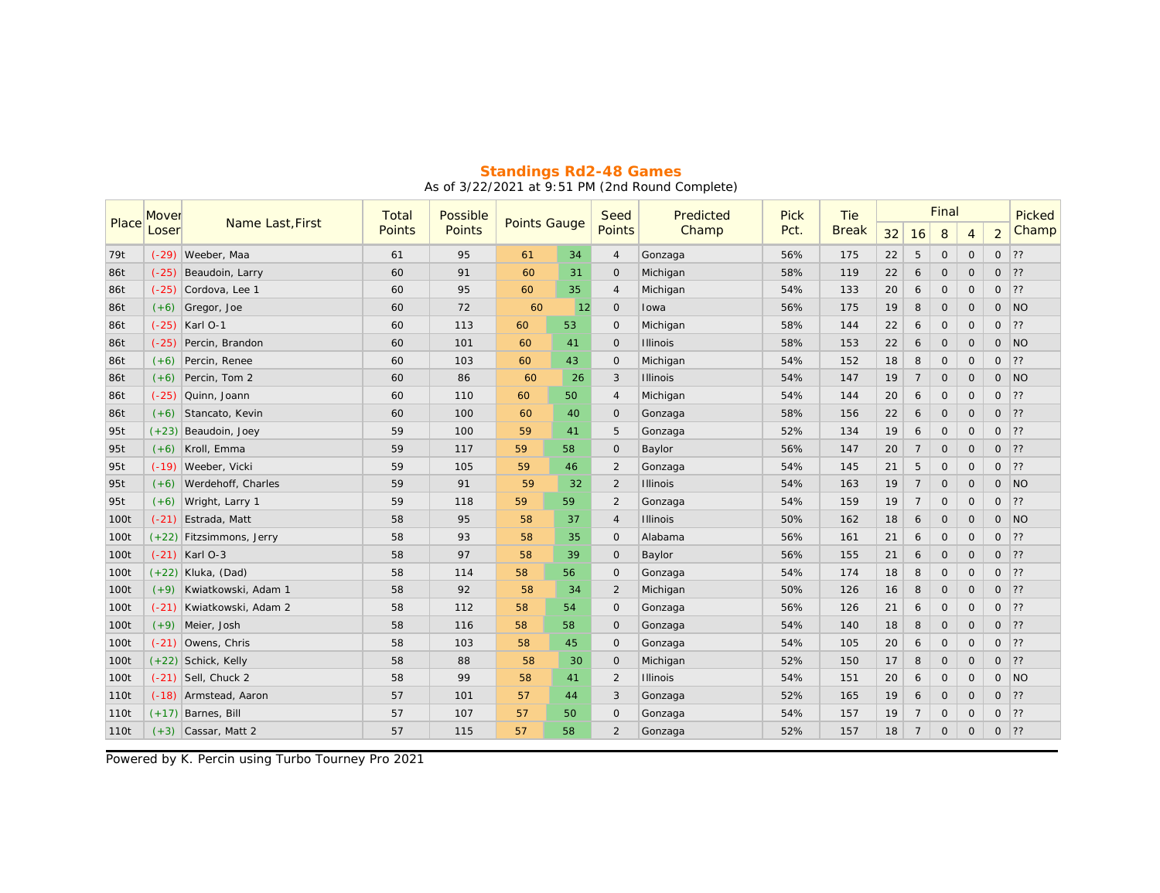|       | Mover   | Name Last, First           | Total         | Possible | <b>Points Gauge</b> |    | Seed           | Predicted       | <b>Pick</b> | Tie          |    |                | Final   |              | Picked         |           |
|-------|---------|----------------------------|---------------|----------|---------------------|----|----------------|-----------------|-------------|--------------|----|----------------|---------|--------------|----------------|-----------|
| Place | Loser   |                            | <b>Points</b> | Points   |                     |    | Points         | Champ           | Pct.        | <b>Break</b> | 32 | 16             | 8       | 4            | $\overline{a}$ | Champ     |
| 79t   | $(-29)$ | Weeber, Maa                | 61            | 95       | 61                  | 34 | $\overline{4}$ | Gonzaga         | 56%         | 175          | 22 | 5              | $\circ$ | $\circ$      | $\circ$        | 22        |
| 86t   | $(-25)$ | Beaudoin, Larry            | 60            | 91       | 60                  | 31 | $\circ$        | Michigan        | 58%         | 119          | 22 | 6              | $\circ$ | $\circ$      | $\circ$        | 22        |
| 86t   | $(-25)$ | Cordova, Lee 1             | 60            | 95       | 60                  | 35 | $\overline{4}$ | Michigan        | 54%         | 133          | 20 | 6              | $\circ$ | $\mathbf 0$  | $\circ$        | 22        |
| 86t   | $(+6)$  | Gregor, Joe                | 60            | 72       | 60                  | 12 | $\mathbf{O}$   | Iowa            | 56%         | 175          | 19 | 8              | $\circ$ | $\circ$      | $\circ$        | N         |
| 86t   |         | $(-25)$ Karl O-1           | 60            | 113      | 60                  | 53 | $\circ$        | Michigan        | 58%         | 144          | 22 | 6              | $\circ$ | $\circ$      | $\circ$        | 22        |
| 86t   | $(-25)$ | Percin, Brandon            | 60            | 101      | 60                  | 41 | $\circ$        | <b>Illinois</b> | 58%         | 153          | 22 | 6              | $\circ$ | $\circ$      | $\circ$        | NO        |
| 86t   | $(+6)$  | Percin, Renee              | 60            | 103      | 60                  | 43 | 0              | Michigan        | 54%         | 152          | 18 | 8              | $\circ$ | $\circ$      | $\circ$        | 22        |
| 86t   | $(+6)$  | Percin, Tom 2              | 60            | 86       | 60                  | 26 | 3              | <b>Illinois</b> | 54%         | 147          | 19 | $\overline{7}$ | $\circ$ | $\circ$      | $\circ$        | NO        |
| 86t   | $(-25)$ | Quinn, Joann               | 60            | 110      | 60                  | 50 | $\overline{4}$ | Michigan        | 54%         | 144          | 20 | 6              | $\circ$ | $\circ$      | $\circ$        | 22        |
| 86t   | $(+6)$  | Stancato, Kevin            | 60            | 100      | 60                  | 40 | $\circ$        | Gonzaga         | 58%         | 156          | 22 | 6              | $\circ$ | $\circ$      | $\circ$        | 22        |
| 95t   | $(+23)$ | Beaudoin, Joey             | 59            | 100      | 59                  | 41 | 5              | Gonzaga         | 52%         | 134          | 19 | 6              | $\circ$ | $\circ$      | $\circ$        | 22        |
| 95t   | $(+6)$  | Kroll, Emma                | 59            | 117      | 59                  | 58 | $\circ$        | Baylor          | 56%         | 147          | 20 | $\overline{7}$ | $\circ$ | $\circ$      | $\circ$        | 22        |
| 95t   | $(-19)$ | Weeber, Vicki              | 59            | 105      | 59                  | 46 | $\overline{2}$ | Gonzaga         | 54%         | 145          | 21 | 5              | $\circ$ | $\circ$      | $\circ$        | 22        |
| 95t   | $(+6)$  | Werdehoff, Charles         | 59            | 91       | 59                  | 32 | $\overline{2}$ | <b>Illinois</b> | 54%         | 163          | 19 | $\overline{7}$ | $\circ$ | $\circ$      | 0              | <b>NO</b> |
| 95t   | $(+6)$  | Wright, Larry 1            | 59            | 118      | 59                  | 59 | $\overline{2}$ | Gonzaga         | 54%         | 159          | 19 | $\overline{7}$ | $\circ$ | $\circ$      | $\circ$        | 22        |
| 100t  | $(-21)$ | Estrada, Matt              | 58            | 95       | 58                  | 37 | $\overline{4}$ | <b>Illinois</b> | 50%         | 162          | 18 | 6              | $\circ$ | $\mathbf{O}$ | $\circ$        | <b>NO</b> |
| 100t  |         | $(+22)$ Fitzsimmons, Jerry | 58            | 93       | 58                  | 35 | 0              | Alabama         | 56%         | 161          | 21 | 6              | $\circ$ | $\mathsf{O}$ | 0              | 22        |
| 100t  |         | $(-21)$ Karl O-3           | 58            | 97       | 58                  | 39 | $\mathsf{O}$   | Baylor          | 56%         | 155          | 21 | 6              | $\circ$ | $\circ$      | $\circ$        | 22        |
| 100t  |         | $(+22)$ Kluka, (Dad)       | 58            | 114      | 58                  | 56 | $\mathsf{O}$   | Gonzaga         | 54%         | 174          | 18 | 8              | $\circ$ | $\circ$      | $\circ$        | 22        |
| 100t  | $(+9)$  | Kwiatkowski, Adam 1        | 58            | 92       | 58                  | 34 | $\overline{2}$ | Michigan        | 50%         | 126          | 16 | 8              | $\circ$ | $\circ$      | $\Omega$       | 22        |
| 100t  | $(-21)$ | Kwiatkowski, Adam 2        | 58            | 112      | 58                  | 54 | $\circ$        | Gonzaga         | 56%         | 126          | 21 | 6              | $\circ$ | $\circ$      | $\circ$        | 22        |
| 100t  |         | $(+9)$ Meier, Josh         | 58            | 116      | 58                  | 58 | $\circ$        | Gonzaga         | 54%         | 140          | 18 | 8              | $\circ$ | $\circ$      | $\circ$        | 22        |
| 100t  | $(-21)$ | Owens, Chris               | 58            | 103      | 58                  | 45 | $\circ$        | Gonzaga         | 54%         | 105          | 20 | 6              | $\circ$ | $\circ$      | $\circ$        | 22        |
| 100t  |         | $(+22)$ Schick, Kelly      | 58            | 88       | 58                  | 30 | $\circ$        | Michigan        | 52%         | 150          | 17 | 8              | $\circ$ | $\circ$      | $\circ$        | 22        |
| 100t  |         | $(-21)$ Sell, Chuck 2      | 58            | 99       | 58                  | 41 | 2              | <b>Illinois</b> | 54%         | 151          | 20 | 6              | $\circ$ | $\circ$      | $\circ$        | N         |
| 110t  |         | (-18) Armstead, Aaron      | 57            | 101      | 57                  | 44 | 3              | Gonzaga         | 52%         | 165          | 19 | 6              | $\circ$ | $\circ$      | $\circ$        | ?         |
| 110t  |         | $(+17)$ Barnes, Bill       | 57            | 107      | 57                  | 50 | $\circ$        | Gonzaga         | 54%         | 157          | 19 | $\overline{7}$ | $\circ$ | $\mathsf{O}$ | $\circ$        | 22        |
| 110t  |         | $(+3)$ Cassar, Matt 2      | 57            | 115      | 57                  | 58 | 2              | Gonzaga         | 52%         | 157          | 18 | $\overline{7}$ | $\circ$ | $\circ$      | $\circ$        | 22        |